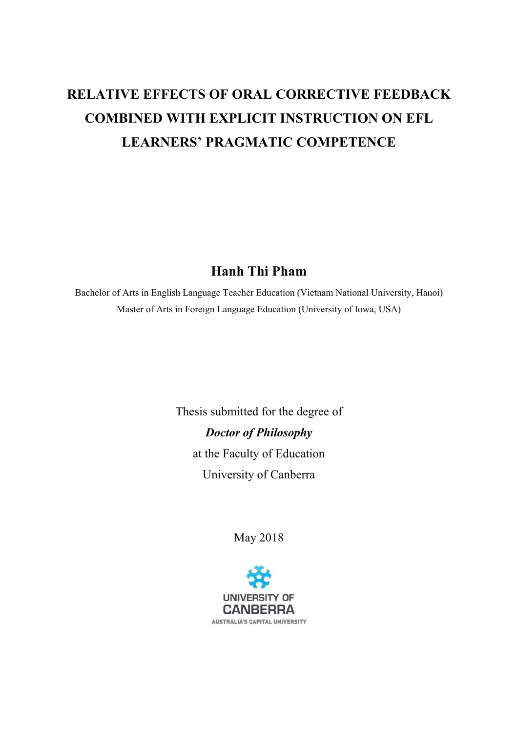# **RELATIVE EFFECTS OF ORAL CORRECTIVE FEEDBACK COMBINED WITH EXPLICIT INSTRUCTION ON EFL LEARNERS' PRAGMATIC COMPETENCE**

#### **Hanh Thi Pham**

Bachelor of Arts in English Language Teacher Education (Vietnam National University, Hanoi) Master of Arts in Foreign Language Education (University of Iowa, USA)

> Thesis submitted for the degree of **Doctor of Philosophy** at the Faculty of Education University of Canberra

> > May 2018

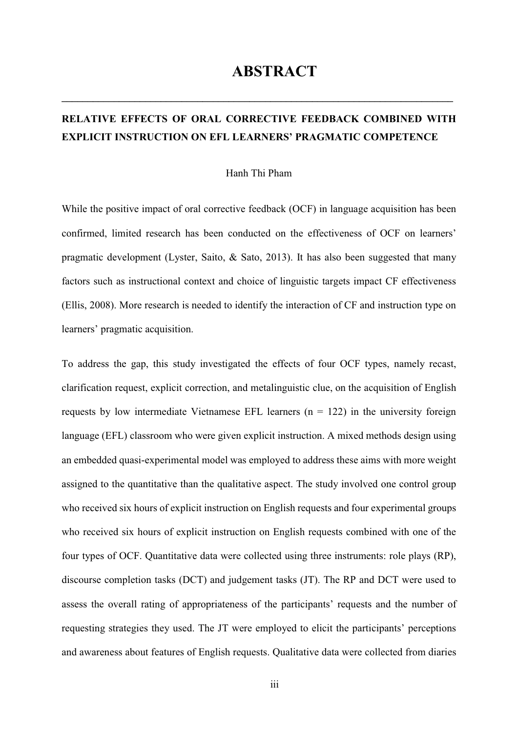## **ABSTRACT**

## RELATIVE EFFECTS OF ORAL CORRECTIVE FEEDBACK COMBINED WITH **EXPLICIT INSTRUCTION ON EFL LEARNERS' PRAGMATIC COMPETENCE**

#### Hanh Thi Pham

While the positive impact of oral corrective feedback (OCF) in language acquisition has been confirmed, limited research has been conducted on the effectiveness of OCF on learners' pragmatic development (Lyster, Saito, & Sato, 2013). It has also been suggested that many factors such as instructional context and choice of linguistic targets impact CF effectiveness (Ellis, 2008). More research is needed to identify the interaction of CF and instruction type on learners' pragmatic acquisition.

To address the gap, this study investigated the effects of four OCF types, namely recast, clarification request, explicit correction, and metalinguistic clue, on the acquisition of English requests by low intermediate Vietnamese EFL learners  $(n = 122)$  in the university foreign language (EFL) classroom who were given explicit instruction. A mixed methods design using an embedded quasi-experimental model was employed to address these aims with more weight assigned to the quantitative than the qualitative aspect. The study involved one control group who received six hours of explicit instruction on English requests and four experimental groups who received six hours of explicit instruction on English requests combined with one of the four types of OCF. Quantitative data were collected using three instruments: role plays (RP), discourse completion tasks (DCT) and judgement tasks (JT). The RP and DCT were used to assess the overall rating of appropriateness of the participants' requests and the number of requesting strategies they used. The JT were employed to elicit the participants' perceptions and awareness about features of English requests. Qualitative data were collected from diaries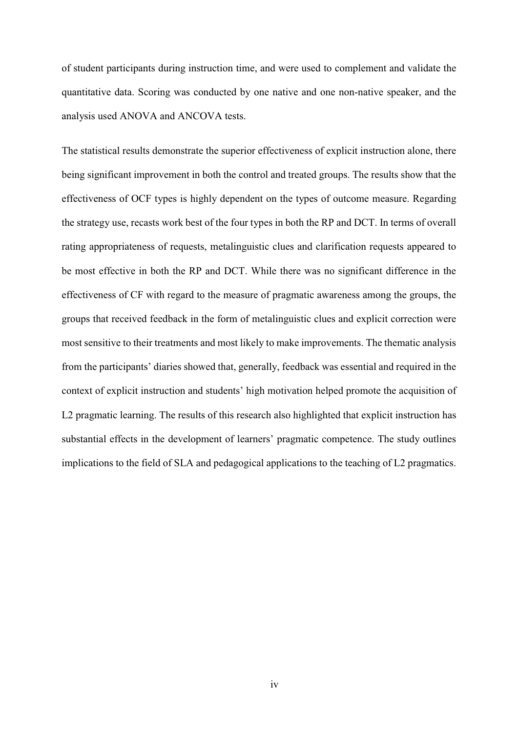of student participants during instruction time, and were used to complement and validate the quantitative data. Scoring was conducted by one native and one non-native speaker, and the analysis used ANOVA and ANCOVA tests.

The statistical results demonstrate the superior effectiveness of explicit instruction alone, there being significant improvement in both the control and treated groups. The results show that the effectiveness of OCF types is highly dependent on the types of outcome measure. Regarding the strategy use, recasts work best of the four types in both the RP and DCT. In terms of overall rating appropriateness of requests, metalinguistic clues and clarification requests appeared to be most effective in both the RP and DCT. While there was no significant difference in the effectiveness of CF with regard to the measure of pragmatic awareness among the groups, the groups that received feedback in the form of metalinguistic clues and explicit correction were most sensitive to their treatments and most likely to make improvements. The thematic analysis from the participants' diaries showed that, generally, feedback was essential and required in the context of explicit instruction and students' high motivation helped promote the acquisition of L2 pragmatic learning. The results of this research also highlighted that explicit instruction has substantial effects in the development of learners' pragmatic competence. The study outlines implications to the field of SLA and pedagogical applications to the teaching of L2 pragmatics.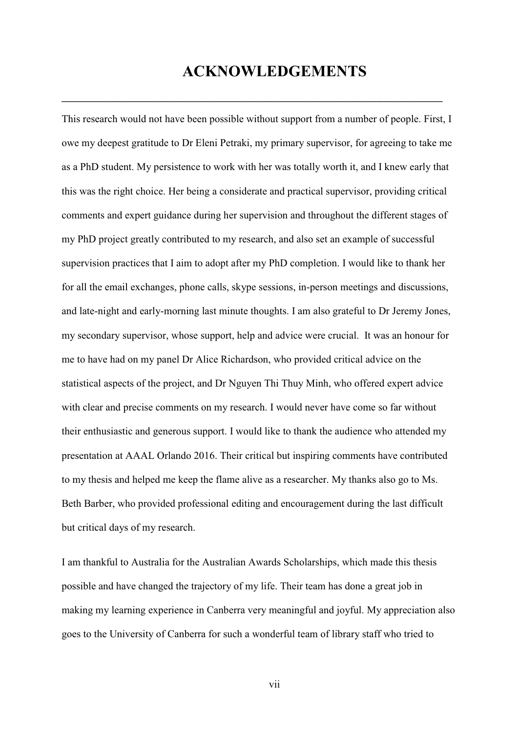## **ACKNOWLEDGEMENTS**

This research would not have been possible without support from a number of people. First, I owe my deepest gratitude to Dr Eleni Petraki, my primary supervisor, for agreeing to take me as a PhD student. My persistence to work with her was totally worth it, and I knew early that this was the right choice. Her being a considerate and practical supervisor, providing critical comments and expert guidance during her supervision and throughout the different stages of my PhD project greatly contributed to my research, and also set an example of successful supervision practices that I aim to adopt after my PhD completion. I would like to thank her for all the email exchanges, phone calls, skype sessions, in-person meetings and discussions, and late-night and early-morning last minute thoughts. I am also grateful to Dr Jeremy Jones, my secondary supervisor, whose support, help and advice were crucial. It was an honour for me to have had on my panel Dr Alice Richardson, who provided critical advice on the statistical aspects of the project, and Dr Nguyen Thi Thuy Minh, who offered expert advice with clear and precise comments on my research. I would never have come so far without their enthusiastic and generous support. I would like to thank the audience who attended my presentation at AAAL Orlando 2016. Their critical but inspiring comments have contributed to my thesis and helped me keep the flame alive as a researcher. My thanks also go to Ms. Beth Barber, who provided professional editing and encouragement during the last difficult but critical days of my research.

I am thankful to Australia for the Australian Awards Scholarships, which made this thesis possible and have changed the trajectory of my life. Their team has done a great job in making my learning experience in Canberra very meaningful and joyful. My appreciation also goes to the University of Canberra for such a wonderful team of library staff who tried to

vii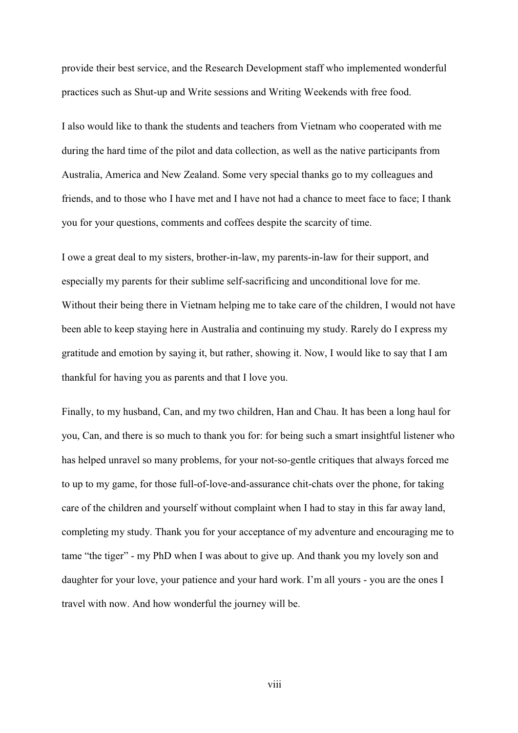provide their best service, and the Research Development staff who implemented wonderful practices such as Shut-up and Write sessions and Writing Weekends with free food.

I also would like to thank the students and teachers from Vietnam who cooperated with me during the hard time of the pilot and data collection, as well as the native participants from Australia, America and New Zealand. Some very special thanks go to my colleagues and friends, and to those who I have met and I have not had a chance to meet face to face; I thank you for your questions, comments and coffees despite the scarcity of time.

I owe a great deal to my sisters, brother-in-law, my parents-in-law for their support, and especially my parents for their sublime self-sacrificing and unconditional love for me. Without their being there in Vietnam helping me to take care of the children, I would not have been able to keep staying here in Australia and continuing my study. Rarely do I express my gratitude and emotion by saying it, but rather, showing it. Now, I would like to say that I am thankful for having you as parents and that I love you.

Finally, to my husband, Can, and my two children, Han and Chau. It has been a long haul for you, Can, and there is so much to thank you for: for being such a smart insightful listener who has helped unravel so many problems, for your not-so-gentle critiques that always forced me to up to my game, for those full-of-love-and-assurance chit-chats over the phone, for taking care of the children and yourself without complaint when I had to stay in this far away land, completing my study. Thank you for your acceptance of my adventure and encouraging me to tame "the tiger" - my PhD when I was about to give up. And thank you my lovely son and daughter for your love, your patience and your hard work. I'm all yours - you are the ones I travel with now. And how wonderful the journey will be.

viii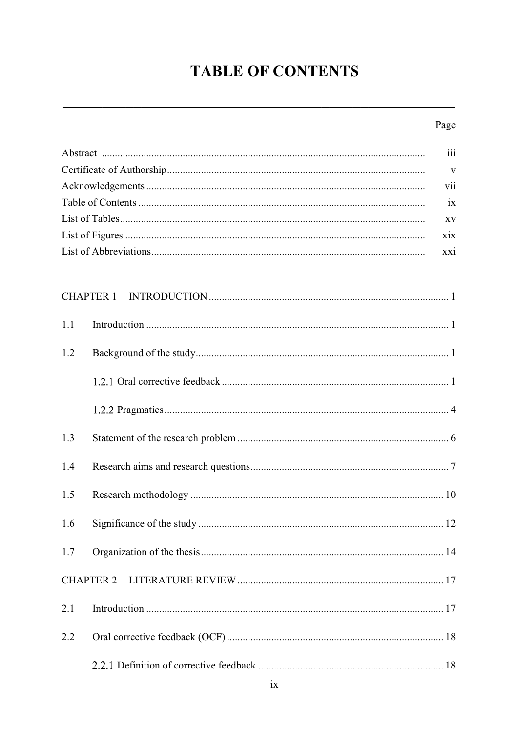# **TABLE OF CONTENTS**

## Page

|     | iii              |
|-----|------------------|
|     | V                |
|     | vii              |
|     | ix               |
|     | XV               |
|     | xix              |
|     | xxi              |
|     |                  |
|     | <b>CHAPTER 1</b> |
| 1.1 |                  |
| 1.2 |                  |
|     |                  |
|     |                  |
| 1.3 |                  |
| 1.4 |                  |
| 1.5 |                  |
| 1.6 |                  |
| 1.7 |                  |
|     | <b>CHAPTER 2</b> |
| 2.1 |                  |
| 2.2 |                  |
|     |                  |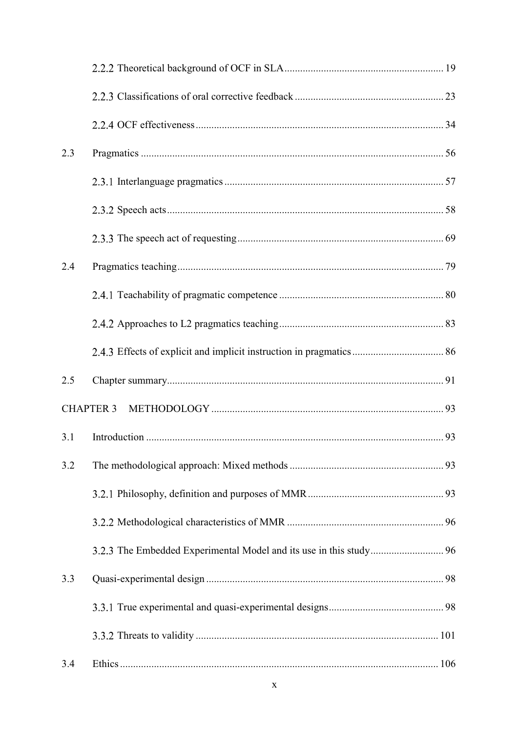| 2.3 |                  |  |
|-----|------------------|--|
|     |                  |  |
|     |                  |  |
|     |                  |  |
| 2.4 |                  |  |
|     |                  |  |
|     |                  |  |
|     |                  |  |
| 2.5 |                  |  |
|     | <b>CHAPTER 3</b> |  |
| 3.1 |                  |  |
| 3.2 |                  |  |
|     |                  |  |
|     |                  |  |
|     |                  |  |
| 3.3 |                  |  |
|     |                  |  |
|     |                  |  |
| 3.4 |                  |  |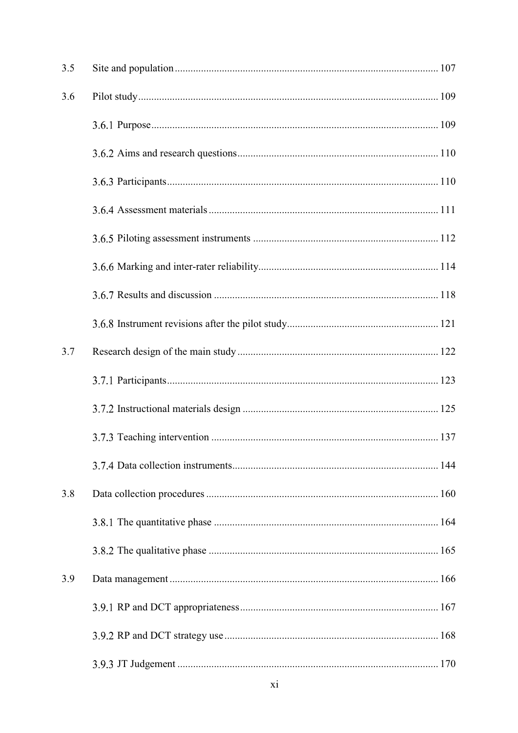| 3.5 |  |
|-----|--|
| 3.6 |  |
|     |  |
|     |  |
|     |  |
|     |  |
|     |  |
|     |  |
|     |  |
|     |  |
| 3.7 |  |
|     |  |
|     |  |
|     |  |
|     |  |
| 3.8 |  |
|     |  |
|     |  |
| 3.9 |  |
|     |  |
|     |  |
|     |  |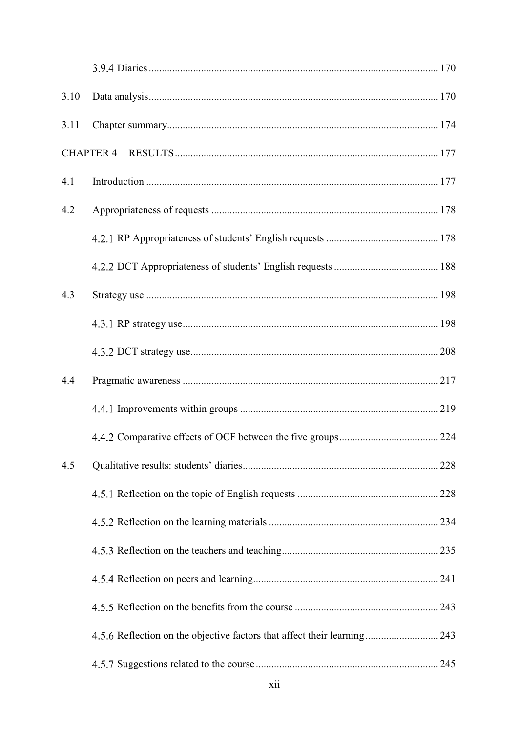| 3.10 |                                                                          |  |
|------|--------------------------------------------------------------------------|--|
| 3.11 |                                                                          |  |
|      |                                                                          |  |
| 4.1  |                                                                          |  |
| 4.2  |                                                                          |  |
|      |                                                                          |  |
|      |                                                                          |  |
| 4.3  |                                                                          |  |
|      |                                                                          |  |
|      |                                                                          |  |
| 4.4  |                                                                          |  |
|      |                                                                          |  |
|      |                                                                          |  |
| 4.5  |                                                                          |  |
|      |                                                                          |  |
|      |                                                                          |  |
|      |                                                                          |  |
|      |                                                                          |  |
|      |                                                                          |  |
|      | 4.5.6 Reflection on the objective factors that affect their learning 243 |  |
|      |                                                                          |  |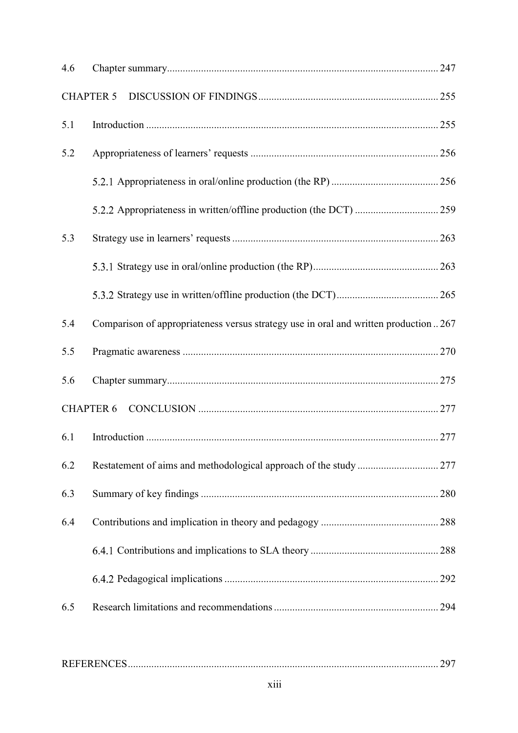| 4.6 |                                                                                     |  |
|-----|-------------------------------------------------------------------------------------|--|
|     | <b>CHAPTER 5</b>                                                                    |  |
| 5.1 |                                                                                     |  |
| 5.2 |                                                                                     |  |
|     |                                                                                     |  |
|     |                                                                                     |  |
| 5.3 |                                                                                     |  |
|     |                                                                                     |  |
|     |                                                                                     |  |
| 5.4 | Comparison of appropriateness versus strategy use in oral and written production267 |  |
| 5.5 |                                                                                     |  |
| 5.6 |                                                                                     |  |
|     | <b>CHAPTER 6</b>                                                                    |  |
| 6.1 |                                                                                     |  |
| 6.2 |                                                                                     |  |
| 6.3 |                                                                                     |  |
| 6.4 |                                                                                     |  |
|     |                                                                                     |  |
|     |                                                                                     |  |
| 6.5 |                                                                                     |  |
|     |                                                                                     |  |

|--|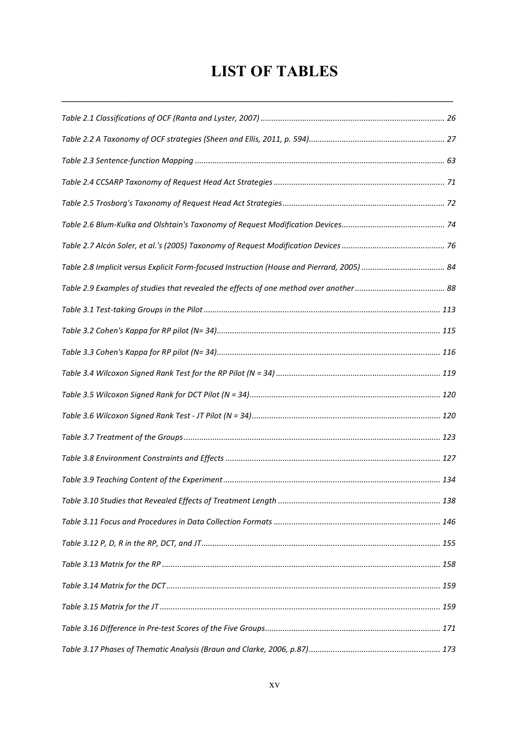## **LIST OF TABLES**

| Table 2.8 Implicit versus Explicit Form-focused Instruction (House and Pierrard, 2005)  84 |  |
|--------------------------------------------------------------------------------------------|--|
|                                                                                            |  |
|                                                                                            |  |
|                                                                                            |  |
|                                                                                            |  |
|                                                                                            |  |
|                                                                                            |  |
|                                                                                            |  |
|                                                                                            |  |
|                                                                                            |  |
|                                                                                            |  |
|                                                                                            |  |
|                                                                                            |  |
|                                                                                            |  |
|                                                                                            |  |
|                                                                                            |  |
|                                                                                            |  |
|                                                                                            |  |
|                                                                                            |  |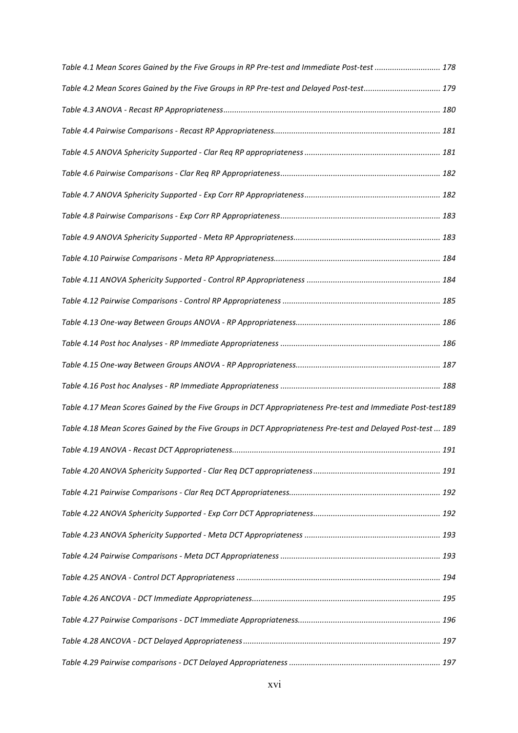| Table 4.1 Mean Scores Gained by the Five Groups in RP Pre-test and Immediate Post-test  178                  |     |
|--------------------------------------------------------------------------------------------------------------|-----|
| Table 4.2 Mean Scores Gained by the Five Groups in RP Pre-test and Delayed Post-test 179                     |     |
|                                                                                                              |     |
|                                                                                                              |     |
|                                                                                                              |     |
|                                                                                                              |     |
|                                                                                                              |     |
|                                                                                                              |     |
|                                                                                                              |     |
|                                                                                                              |     |
|                                                                                                              |     |
|                                                                                                              |     |
|                                                                                                              |     |
|                                                                                                              |     |
|                                                                                                              |     |
|                                                                                                              |     |
| Table 4.17 Mean Scores Gained by the Five Groups in DCT Appropriateness Pre-test and Immediate Post-test 189 |     |
| Table 4.18 Mean Scores Gained by the Five Groups in DCT Appropriateness Pre-test and Delayed Post-test  189  |     |
|                                                                                                              | 191 |
|                                                                                                              |     |
|                                                                                                              |     |
|                                                                                                              |     |
|                                                                                                              |     |
|                                                                                                              |     |
|                                                                                                              |     |
|                                                                                                              |     |
|                                                                                                              |     |
|                                                                                                              |     |
|                                                                                                              |     |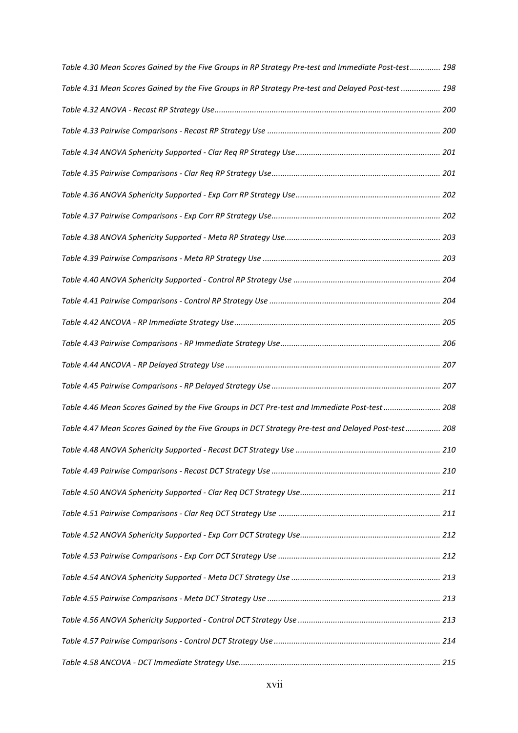| Table 4.30 Mean Scores Gained by the Five Groups in RP Strategy Pre-test and Immediate Post-test 198 |  |
|------------------------------------------------------------------------------------------------------|--|
| Table 4.31 Mean Scores Gained by the Five Groups in RP Strategy Pre-test and Delayed Post-test  198  |  |
|                                                                                                      |  |
|                                                                                                      |  |
|                                                                                                      |  |
|                                                                                                      |  |
|                                                                                                      |  |
|                                                                                                      |  |
|                                                                                                      |  |
|                                                                                                      |  |
|                                                                                                      |  |
|                                                                                                      |  |
|                                                                                                      |  |
|                                                                                                      |  |
|                                                                                                      |  |
|                                                                                                      |  |
| Table 4.46 Mean Scores Gained by the Five Groups in DCT Pre-test and Immediate Post-test  208        |  |
| Table 4.47 Mean Scores Gained by the Five Groups in DCT Strategy Pre-test and Delayed Post-test 208  |  |
|                                                                                                      |  |
|                                                                                                      |  |
|                                                                                                      |  |
|                                                                                                      |  |
|                                                                                                      |  |
|                                                                                                      |  |
|                                                                                                      |  |
|                                                                                                      |  |
|                                                                                                      |  |
|                                                                                                      |  |
|                                                                                                      |  |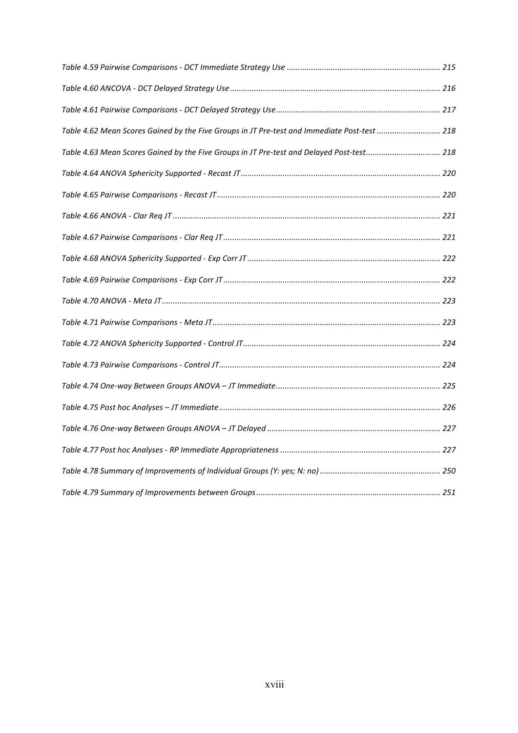| Table 4.62 Mean Scores Gained by the Five Groups in JT Pre-test and Immediate Post-test  218 |  |
|----------------------------------------------------------------------------------------------|--|
| Table 4.63 Mean Scores Gained by the Five Groups in JT Pre-test and Delayed Post-test 218    |  |
|                                                                                              |  |
|                                                                                              |  |
|                                                                                              |  |
|                                                                                              |  |
|                                                                                              |  |
|                                                                                              |  |
|                                                                                              |  |
|                                                                                              |  |
|                                                                                              |  |
|                                                                                              |  |
|                                                                                              |  |
|                                                                                              |  |
|                                                                                              |  |
|                                                                                              |  |
|                                                                                              |  |
|                                                                                              |  |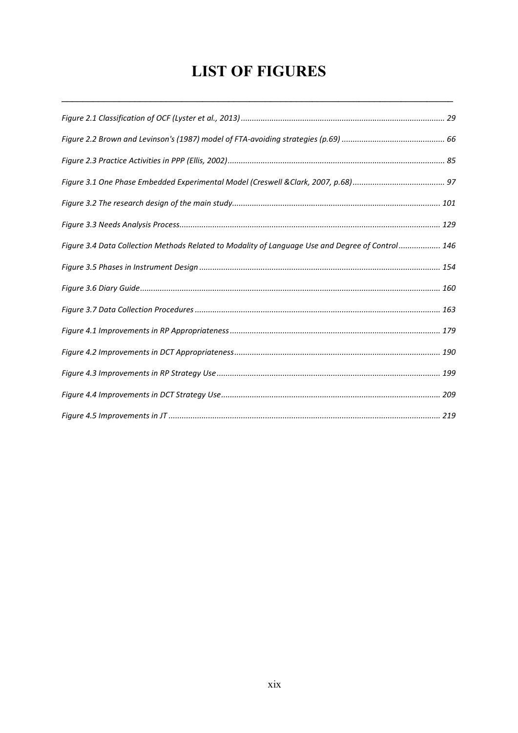## **LIST OF FIGURES**

| Figure 3.4 Data Collection Methods Related to Modality of Language Use and Degree of Control 146 |  |
|--------------------------------------------------------------------------------------------------|--|
|                                                                                                  |  |
|                                                                                                  |  |
|                                                                                                  |  |
|                                                                                                  |  |
|                                                                                                  |  |
|                                                                                                  |  |
|                                                                                                  |  |
|                                                                                                  |  |